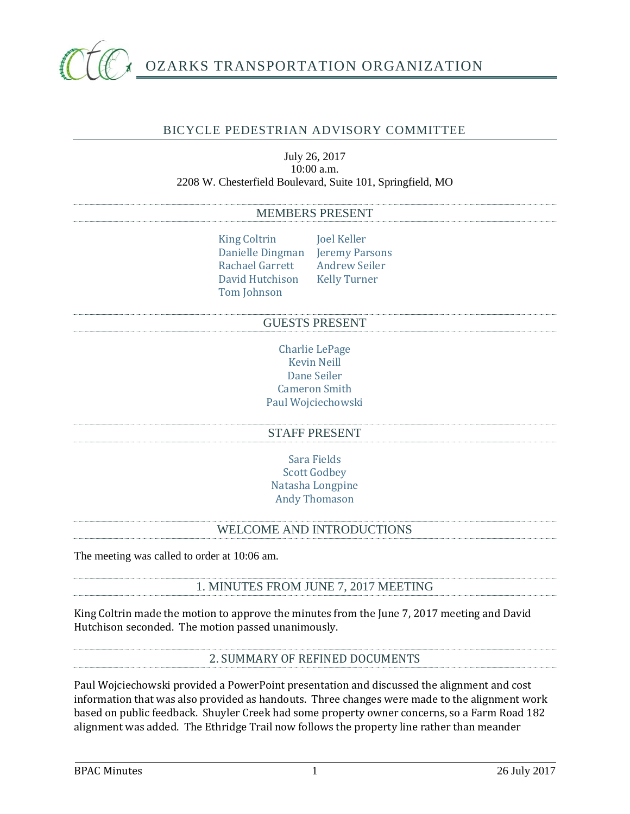

# BICYCLE PEDESTRIAN ADVISORY COMMITTEE

#### July 26, 2017 10:00 a.m. 2208 W. Chesterfield Boulevard, Suite 101, Springfield, MO

#### MEMBERS PRESENT

King Coltrin Joel Keller Danielle Dingman Jeremy Parsons Rachael Garrett Andrew Seiler David Hutchison Kelly Turner Tom Johnson

#### GUESTS PRESENT

Charlie LePage Kevin Neill Dane Seiler Cameron Smith Paul Wojciechowski

### STAFF PRESENT

Sara Fields Scott Godbey Natasha Longpine Andy Thomason

### WELCOME AND INTRODUCTIONS

The meeting was called to order at 10:06 am.

1. MINUTES FROM JUNE 7, 2017 MEETING

King Coltrin made the motion to approve the minutes from the June 7, 2017 meeting and David Hutchison seconded. The motion passed unanimously.

2. SUMMARY OF REFINED DOCUMENTS

Paul Wojciechowski provided a PowerPoint presentation and discussed the alignment and cost information that was also provided as handouts. Three changes were made to the alignment work based on public feedback. Shuyler Creek had some property owner concerns, so a Farm Road 182 alignment was added. The Ethridge Trail now follows the property line rather than meander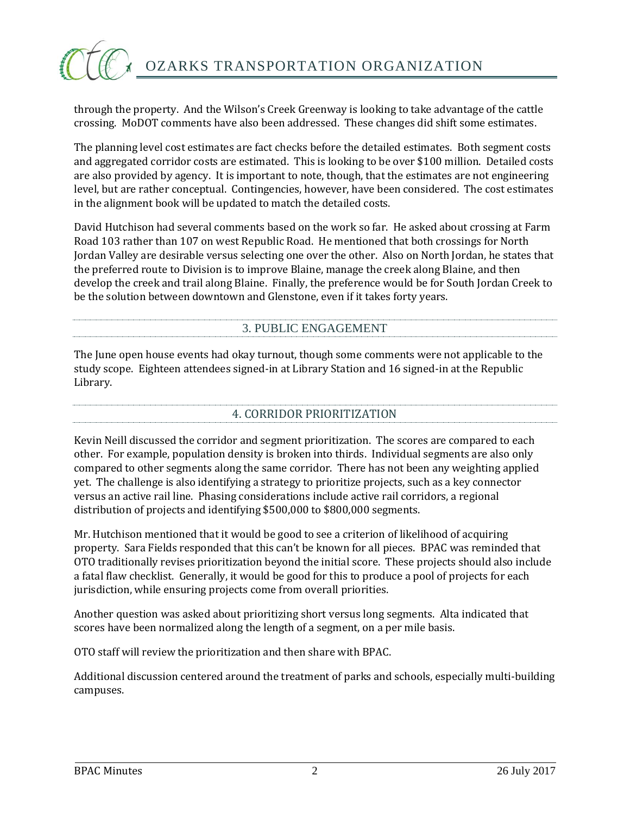

through the property. And the Wilson's Creek Greenway is looking to take advantage of the cattle crossing. MoDOT comments have also been addressed. These changes did shift some estimates.

The planning level cost estimates are fact checks before the detailed estimates. Both segment costs and aggregated corridor costs are estimated. This is looking to be over \$100 million. Detailed costs are also provided by agency. It is important to note, though, that the estimates are not engineering level, but are rather conceptual. Contingencies, however, have been considered. The cost estimates in the alignment book will be updated to match the detailed costs.

David Hutchison had several comments based on the work so far. He asked about crossing at Farm Road 103 rather than 107 on west Republic Road. He mentioned that both crossings for North Jordan Valley are desirable versus selecting one over the other. Also on North Jordan, he states that the preferred route to Division is to improve Blaine, manage the creek along Blaine, and then develop the creek and trail along Blaine. Finally, the preference would be for South Jordan Creek to be the solution between downtown and Glenstone, even if it takes forty years.

## 3. PUBLIC ENGAGEMENT

The June open house events had okay turnout, though some comments were not applicable to the study scope. Eighteen attendees signed-in at Library Station and 16 signed-in at the Republic Library.

# 4. CORRIDOR PRIORITIZATION

Kevin Neill discussed the corridor and segment prioritization. The scores are compared to each other. For example, population density is broken into thirds. Individual segments are also only compared to other segments along the same corridor. There has not been any weighting applied yet. The challenge is also identifying a strategy to prioritize projects, such as a key connector versus an active rail line. Phasing considerations include active rail corridors, a regional distribution of projects and identifying \$500,000 to \$800,000 segments.

Mr. Hutchison mentioned that it would be good to see a criterion of likelihood of acquiring property. Sara Fields responded that this can't be known for all pieces. BPAC was reminded that OTO traditionally revises prioritization beyond the initial score. These projects should also include a fatal flaw checklist. Generally, it would be good for this to produce a pool of projects for each jurisdiction, while ensuring projects come from overall priorities.

Another question was asked about prioritizing short versus long segments. Alta indicated that scores have been normalized along the length of a segment, on a per mile basis.

OTO staff will review the prioritization and then share with BPAC.

Additional discussion centered around the treatment of parks and schools, especially multi-building campuses.